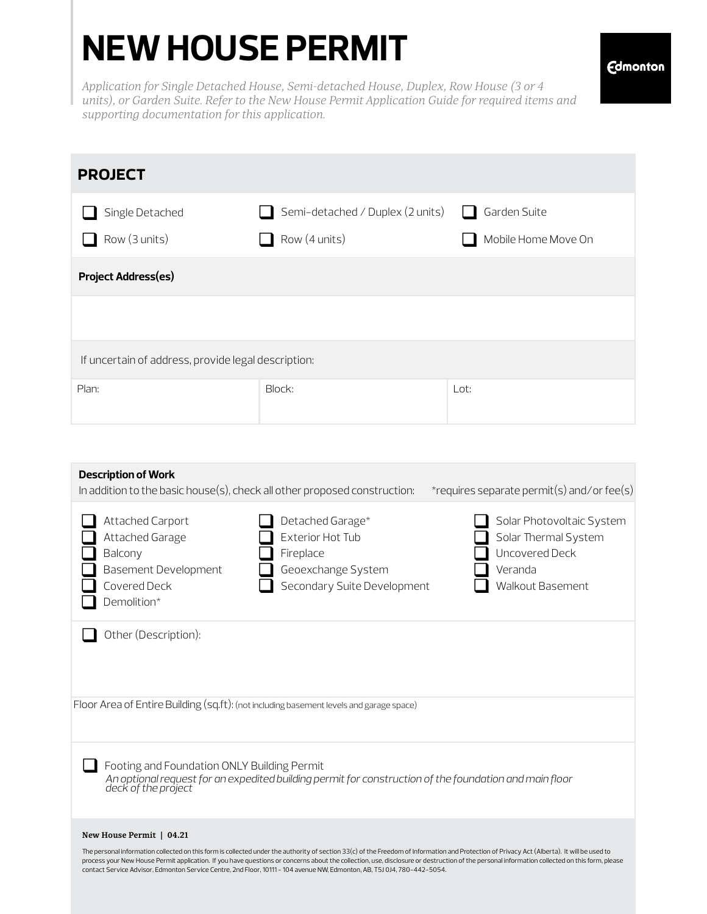## **NEW HOUSE PERMIT**

**Edmonton** 

*Application for Single Detached House, Semi-detached House, Duplex, Row House (3 or 4 units), or Garden Suite. Refer to the New House Permit Application Guide for required items and supporting documentation for this application.*

| <b>PROJECT</b>                                      |                                                   |                                                     |  |  |  |
|-----------------------------------------------------|---------------------------------------------------|-----------------------------------------------------|--|--|--|
| Single Detached<br>Row (3 units)                    | Semi-detached / Duplex (2 units)<br>Row (4 units) | Garden Suite<br>$\mathbf{1}$<br>Mobile Home Move On |  |  |  |
| <b>Project Address(es)</b>                          |                                                   |                                                     |  |  |  |
|                                                     |                                                   |                                                     |  |  |  |
| If uncertain of address, provide legal description: |                                                   |                                                     |  |  |  |
| Plan:                                               | Block:                                            | Lot:                                                |  |  |  |

| <b>Description of Work</b><br>In addition to the basic house(s), check all other proposed construction:<br>*requires separate permit(s) and/or fee(s)                                                                                                                                                                        |
|------------------------------------------------------------------------------------------------------------------------------------------------------------------------------------------------------------------------------------------------------------------------------------------------------------------------------|
| Attached Carport<br>Detached Garage*<br>Solar Photovoltaic System<br>Exterior Hot Tub<br>Solar Thermal System<br>Attached Garage<br>Uncovered Deck<br>Balcony<br>Fireplace<br><b>Basement Development</b><br>Geoexchange System<br>Veranda<br>Covered Deck<br>Secondary Suite Development<br>Walkout Basement<br>Demolition* |
| Other (Description):                                                                                                                                                                                                                                                                                                         |
| Floor Area of Entire Building (sq.ft): (not including basement levels and garage space)                                                                                                                                                                                                                                      |
| Footing and Foundation ONLY Building Permit<br>An optional request for an expedited building permit for construction of the foundation and main floor<br>deck of the project                                                                                                                                                 |
| New House Permit   04.21                                                                                                                                                                                                                                                                                                     |
| The personal information collected on this form is collected under the authority of section 33(c) of the Freedom of Information and Protection of Privacy Act (Alberta). It will be used to                                                                                                                                  |

The personal information collected on this form is collected under the authority of section 33(c) of the Freedom of Information and Protection of Privacy Act (Alberta). It will be used to<br>process your New House Permit appl contact Service Advisor, Edmonton Service Centre, 2nd Floor, 10111 - 104 avenue NW, Edmonton, AB, T5J 0J4, 780-442-5054.